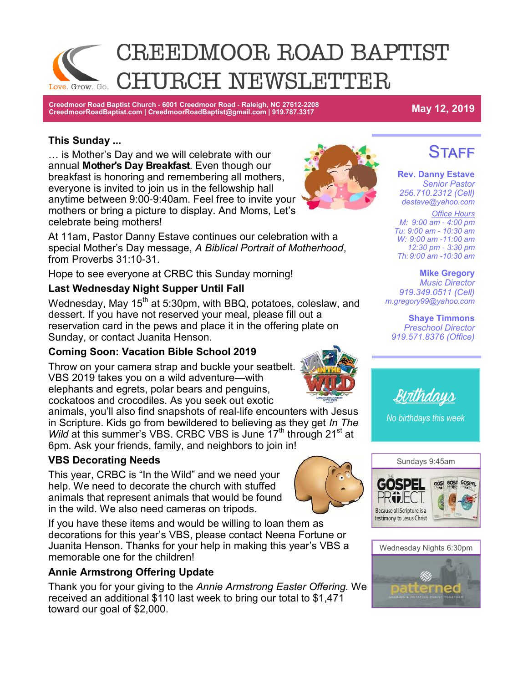

**Creedmoor Road Baptist Church - 6001 Creedmoor Road - Raleigh, NC 27612-2208 CreedmoorRoadBaptist.com | CreedmoorRoadBaptist@gmail.com | 919.787.3317 May 12, 2019**

#### **This Sunday ...**

… is Mother's Day and we will celebrate with our annual **Mother's Day Breakfast**. Even though our breakfast is honoring and remembering all mothers, everyone is invited to join us in the fellowship hall anytime between 9:00-9:40am. Feel free to invite your mothers or bring a picture to display. And Moms, Let's celebrate being mothers!

At 11am, Pastor Danny Estave continues our celebration with a special Mother's Day message, *A Biblical Portrait of Motherhood*, from Proverbs 31:10-31.

Hope to see everyone at CRBC this Sunday morning!

#### **Last Wednesday Night Supper Until Fall**

Wednesday, May  $15<sup>th</sup>$  at 5:30pm, with BBQ, potatoes, coleslaw, and dessert. If you have not reserved your meal, please fill out a reservation card in the pews and place it in the offering plate on Sunday, or contact Juanita Henson.

#### **Coming Soon: Vacation Bible School 2019**

Throw on your camera strap and buckle your seatbelt. VBS 2019 takes you on a wild adventure—with elephants and egrets, polar bears and penguins,

cockatoos and crocodiles. As you seek out exotic animals, you'll also find snapshots of real-life encounters with Jesus in Scripture. Kids go from bewildered to believing as they get *In The Wild* at this summer's VBS. CRBC VBS is June 17<sup>th</sup> through 21<sup>st</sup> at

6pm. Ask your friends, family, and neighbors to join in!

#### **VBS Decorating Needs**

This year, CRBC is "In the Wild" and we need your help. We need to decorate the church with stuffed animals that represent animals that would be found in the wild. We also need cameras on tripods.

If you have these items and would be willing to loan them as decorations for this year's VBS, please contact Neena Fortune or Juanita Henson. Thanks for your help in making this year's VBS a memorable one for the children!

#### **Annie Armstrong Offering Update**

Thank you for your giving to the *Annie Armstrong Easter Offering.* We received an additional \$110 last week to bring our total to \$1,471 toward our goal of \$2,000.



**Rev. Danny Estave** *Senior Pastor 256.710.2312 (Cell)*

**STAFF** 

*destave@yahoo.com Office Hours M: 9:00 am - 4:00 pm Tu: 9:00 am - 10:30 am W: 9:00 am -11:00 am 12:30 pm - 3:30 pm Th: 9:00 am -10:30 am* 

**Mike Gregory** *Music Director 919.349.0511 (Cell)*

**Shaye Timmons** *Preschool Director 919.571.8376 (Office)*

*m.gregory99@yahoo.com*